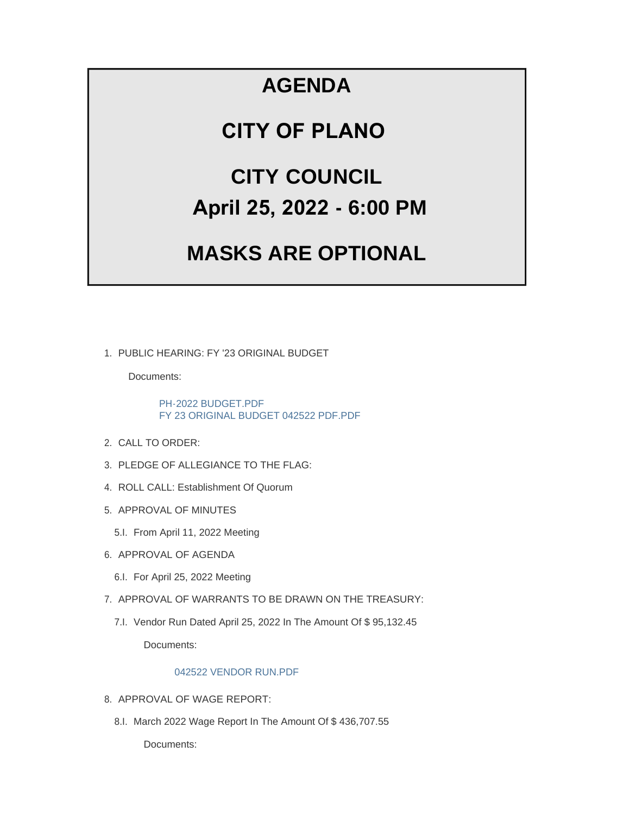## **AGENDA**

### **CITY OF PLANO**

# **CITY COUNCIL April 25, 2022 - 6:00 PM**

## **MASKS ARE OPTIONAL**

PUBLIC HEARING: FY '23 ORIGINAL BUDGET 1.

Documents:

[PH-2022 BUDGET.PDF](https://www.cityofplanoil.com/AgendaCenter/ViewFile/Item/8934?fileID=2501) [FY 23 ORIGINAL BUDGET 042522 PDF.PDF](https://www.cityofplanoil.com/AgendaCenter/ViewFile/Item/8934?fileID=2503)

- 2. CALL TO ORDER:
- 3. PLEDGE OF ALLEGIANCE TO THE FLAG:
- 4. ROLL CALL: Establishment Of Quorum
- 5. APPROVAL OF MINUTES
	- 5.I. From April 11, 2022 Meeting
- 6. APPROVAL OF AGENDA
	- 6.I. For April 25, 2022 Meeting
- 7. APPROVAL OF WARRANTS TO BE DRAWN ON THE TREASURY:
	- 7.I. Vendor Run Dated April 25, 2022 In The Amount Of \$95,132.45

Documents:

#### [042522 VENDOR RUN.PDF](https://www.cityofplanoil.com/AgendaCenter/ViewFile/Item/8918?fileID=2502)

- 8. APPROVAL OF WAGE REPORT:
	- 8.I. March 2022 Wage Report In The Amount Of \$436,707.55

Documents: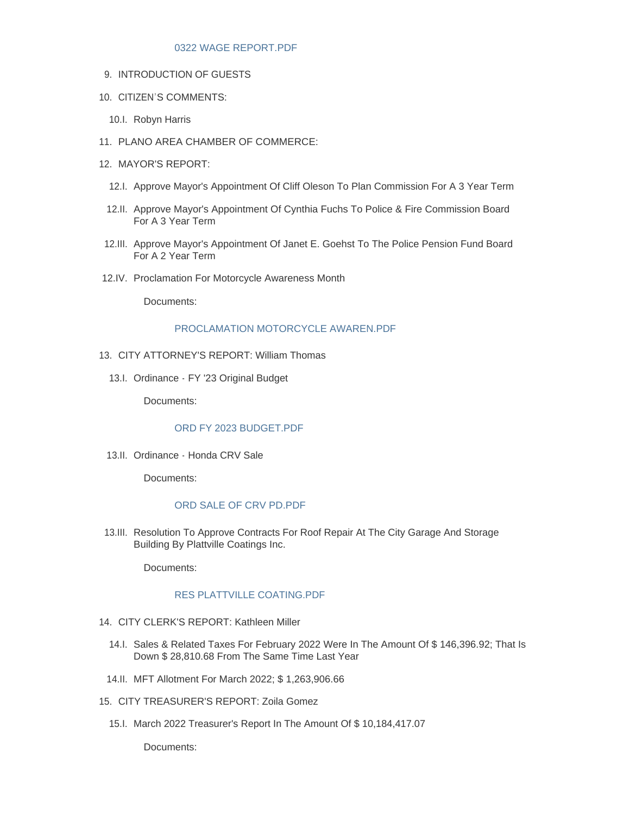#### [0322 WAGE REPORT.PDF](https://www.cityofplanoil.com/AgendaCenter/ViewFile/Item/8919?fileID=2493)

- 9. INTRODUCTION OF GUESTS
- 10. CITIZEN'S COMMENTS:
	- 10.I. Robyn Harris
- PLANO AREA CHAMBER OF COMMERCE: 11.
- 12. MAYOR'S REPORT:
	- 12.I. Approve Mayor's Appointment Of Cliff Oleson To Plan Commission For A 3 Year Term
	- 12.II. Approve Mayor's Appointment Of Cynthia Fuchs To Police & Fire Commission Board For A 3 Year Term
- 12.III. Approve Mayor's Appointment Of Janet E. Goehst To The Police Pension Fund Board For A 2 Year Term
- 12.IV. Proclamation For Motorcycle Awareness Month

Documents:

#### [PROCLAMATION MOTORCYCLE AWAREN.PDF](https://www.cityofplanoil.com/AgendaCenter/ViewFile/Item/8924?fileID=2494)

- 13. CITY ATTORNEY'S REPORT: William Thomas
	- 13.I. Ordinance FY '23 Original Budget

Documents:

#### ORD FY 2023 BUDGET PDF

13.II. Ordinance - Honda CRV Sale

Documents:

#### [ORD SALE OF CRV PD.PDF](https://www.cityofplanoil.com/AgendaCenter/ViewFile/Item/8926?fileID=2496)

13.III. Resolution To Approve Contracts For Roof Repair At The City Garage And Storage Building By Plattville Coatings Inc.

Documents:

#### [RES PLATTVILLE COATING.PDF](https://www.cityofplanoil.com/AgendaCenter/ViewFile/Item/8927?fileID=2497)

- CITY CLERK'S REPORT: Kathleen Miller 14.
	- 14.I. Sales & Related Taxes For February 2022 Were In The Amount Of \$ 146,396.92; That Is Down \$ 28,810.68 From The Same Time Last Year
- MFT Allotment For March 2022; \$ 1,263,906.66 14.II.
- CITY TREASURER'S REPORT: Zoila Gomez 15.
	- 15.I. March 2022 Treasurer's Report In The Amount Of \$10,184,417.07

Documents: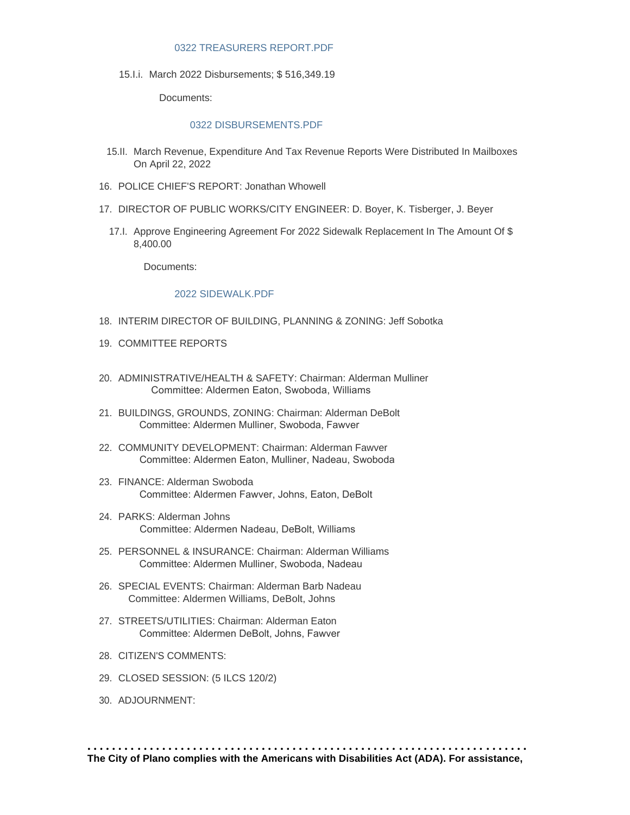#### [0322 TREASURERS REPORT.PDF](https://www.cityofplanoil.com/AgendaCenter/ViewFile/Item/8930?fileID=2498)

15.I.i. March 2022 Disbursements; \$ 516,349.19

Documents:

#### [0322 DISBURSEMENTS.PDF](https://www.cityofplanoil.com/AgendaCenter/ViewFile/Item/8931?fileID=2499)

- 15.II. March Revenue, Expenditure And Tax Revenue Reports Were Distributed In Mailboxes On April 22, 2022
- 16. POLICE CHIEF'S REPORT: Jonathan Whowell
- 17. DIRECTOR OF PUBLIC WORKS/CITY ENGINEER: D. Boyer, K. Tisberger, J. Beyer
	- 17.I. Approve Engineering Agreement For 2022 Sidewalk Replacement In The Amount Of \$ 8,400.00

Documents:

#### [2022 SIDEWALK.PDF](https://www.cityofplanoil.com/AgendaCenter/ViewFile/Item/8933?fileID=2500)

- 18. INTERIM DIRECTOR OF BUILDING, PLANNING & ZONING: Jeff Sobotka
- 19. COMMITTEE REPORTS
- ADMINISTRATIVE/HEALTH & SAFETY: Chairman: Alderman Mulliner 20. Committee: Aldermen Eaton, Swoboda, Williams
- BUILDINGS, GROUNDS, ZONING: Chairman: Alderman DeBolt 21. Committee: Aldermen Mulliner, Swoboda, Fawver
- 22. COMMUNITY DEVELOPMENT: Chairman: Alderman Fawver Committee: Aldermen Eaton, Mulliner, Nadeau, Swoboda
- FINANCE: Alderman Swoboda 23. Committee: Aldermen Fawver, Johns, Eaton, DeBolt
- PARKS: Alderman Johns 24. Committee: Aldermen Nadeau, DeBolt, Williams
- PERSONNEL & INSURANCE: Chairman: Alderman Williams 25. Committee: Aldermen Mulliner, Swoboda, Nadeau
- 26. SPECIAL EVENTS: Chairman: Alderman Barb Nadeau Committee: Aldermen Williams, DeBolt, Johns
- 27. STREETS/UTILITIES: Chairman: Alderman Eaton Committee: Aldermen DeBolt, Johns, Fawver
- 28. CITIZEN'S COMMENTS:
- CLOSED SESSION: (5 ILCS 120/2) 29.
- 30. ADJOURNMENT: